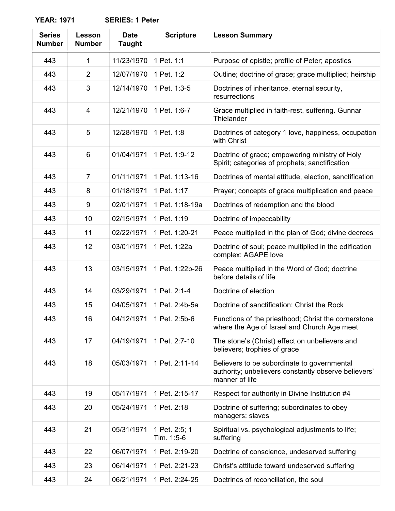**YEAR: 1971 SERIES: 1 Peter**

| <b>Series</b><br><b>Number</b> | Lesson<br><b>Number</b> | <b>Date</b><br><b>Taught</b> | <b>Scripture</b>            | <b>Lesson Summary</b>                                                                                                 |
|--------------------------------|-------------------------|------------------------------|-----------------------------|-----------------------------------------------------------------------------------------------------------------------|
| 443                            | 1                       | 11/23/1970                   | 1 Pet. 1:1                  | Purpose of epistle; profile of Peter; apostles                                                                        |
| 443                            | $\overline{2}$          | 12/07/1970                   | 1 Pet. 1:2                  | Outline; doctrine of grace; grace multiplied; heirship                                                                |
| 443                            | 3                       | 12/14/1970                   | 1 Pet. 1:3-5                | Doctrines of inheritance, eternal security,<br>resurrections                                                          |
| 443                            | 4                       | 12/21/1970                   | 1 Pet. 1:6-7                | Grace multiplied in faith-rest, suffering. Gunnar<br>Thielander                                                       |
| 443                            | 5                       | 12/28/1970                   | 1 Pet. 1:8                  | Doctrines of category 1 love, happiness, occupation<br>with Christ                                                    |
| 443                            | 6                       | 01/04/1971                   | 1 Pet. 1:9-12               | Doctrine of grace; empowering ministry of Holy<br>Spirit; categories of prophets; sanctification                      |
| 443                            | $\overline{7}$          | 01/11/1971                   | 1 Pet. 1:13-16              | Doctrines of mental attitude, election, sanctification                                                                |
| 443                            | 8                       | 01/18/1971                   | 1 Pet. 1:17                 | Prayer; concepts of grace multiplication and peace                                                                    |
| 443                            | 9                       | 02/01/1971                   | 1 Pet. 1:18-19a             | Doctrines of redemption and the blood                                                                                 |
| 443                            | 10                      | 02/15/1971                   | 1 Pet. 1:19                 | Doctrine of impeccability                                                                                             |
| 443                            | 11                      | 02/22/1971                   | 1 Pet. 1:20-21              | Peace multiplied in the plan of God; divine decrees                                                                   |
| 443                            | 12                      | 03/01/1971                   | 1 Pet. 1:22a                | Doctrine of soul; peace multiplied in the edification<br>complex; AGAPE love                                          |
| 443                            | 13                      | 03/15/1971                   | 1 Pet. 1:22b-26             | Peace multiplied in the Word of God; doctrine<br>before details of life                                               |
| 443                            | 14                      | 03/29/1971                   | 1 Pet. 2:1-4                | Doctrine of election                                                                                                  |
| 443                            | 15                      | 04/05/1971                   | 1 Pet. 2:4b-5a              | Doctrine of sanctification; Christ the Rock                                                                           |
| 443                            | 16                      |                              | 04/12/1971   1 Pet. 2:5b-6  | Functions of the priesthood; Christ the cornerstone<br>where the Age of Israel and Church Age meet                    |
| 443                            | 17                      | 04/19/1971                   | 1 Pet. 2:7-10               | The stone's (Christ) effect on unbelievers and<br>believers; trophies of grace                                        |
| 443                            | 18                      | 05/03/1971                   | 1 Pet. 2:11-14              | Believers to be subordinate to governmental<br>authority; unbelievers constantly observe believers'<br>manner of life |
| 443                            | 19                      | 05/17/1971                   | 1 Pet. 2:15-17              | Respect for authority in Divine Institution #4                                                                        |
| 443                            | 20                      | 05/24/1971                   | 1 Pet. 2:18                 | Doctrine of suffering; subordinates to obey<br>managers; slaves                                                       |
| 443                            | 21                      | 05/31/1971                   | 1 Pet. 2:5; 1<br>Tim. 1:5-6 | Spiritual vs. psychological adjustments to life;<br>suffering                                                         |
| 443                            | 22                      | 06/07/1971                   | 1 Pet. 2:19-20              | Doctrine of conscience, undeserved suffering                                                                          |
| 443                            | 23                      | 06/14/1971                   | 1 Pet. 2:21-23              | Christ's attitude toward undeserved suffering                                                                         |
| 443                            | 24                      | 06/21/1971                   | 1 Pet. 2:24-25              | Doctrines of reconciliation, the soul                                                                                 |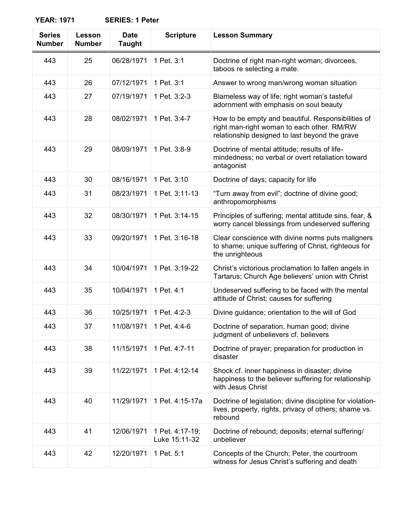**YEAR: 1971 SERIES: 1 Peter**

| <b>Series</b><br><b>Number</b> | Lesson<br><b>Number</b> | <b>Date</b><br><b>Taught</b> | <b>Scripture</b>                 | <b>Lesson Summary</b>                                                                                                                              |
|--------------------------------|-------------------------|------------------------------|----------------------------------|----------------------------------------------------------------------------------------------------------------------------------------------------|
| 443                            | 25                      | 06/28/1971                   | 1 Pet. 3:1                       | Doctrine of right man-right woman; divorcees,<br>taboos re selecting a mate.                                                                       |
| 443                            | 26                      | 07/12/1971                   | 1 Pet. 3:1                       | Answer to wrong man/wrong woman situation                                                                                                          |
| 443                            | 27                      | 07/19/1971                   | 1 Pet. 3:2-3                     | Blameless way of life; right woman's tasteful<br>adornment with emphasis on soul beauty                                                            |
| 443                            | 28                      | 08/02/1971                   | 1 Pet. 3:4-7                     | How to be empty and beautiful. Responsibilities of<br>right man-right woman to each other. RM/RW<br>relationship designed to last beyond the grave |
| 443                            | 29                      | 08/09/1971                   | 1 Pet. 3:8-9                     | Doctrine of mental attitude; results of life-<br>mindedness; no verbal or overt retaliation toward<br>antagonist                                   |
| 443                            | 30                      | 08/16/1971                   | 1 Pet. 3:10                      | Doctrine of days; capacity for life                                                                                                                |
| 443                            | 31                      | 08/23/1971                   | 1 Pet. 3:11-13                   | "Turn away from evil"; doctrine of divine good;<br>anthropomorphisms                                                                               |
| 443                            | 32                      | 08/30/1971                   | 1 Pet. 3:14-15                   | Principles of suffering; mental attitude sins, fear, &<br>worry cancel blessings from undeserved suffering                                         |
| 443                            | 33                      | 09/20/1971                   | 1 Pet. 3:16-18                   | Clear conscience with divine norms puts maligners<br>to shame; unique suffering of Christ, righteous for<br>the unrighteous                        |
| 443                            | 34                      | 10/04/1971                   | 1 Pet. 3:19-22                   | Christ's victorious proclamation to fallen angels in<br>Tartarus; Church Age believers' union with Christ                                          |
| 443                            | 35                      | 10/04/1971                   | 1 Pet. 4:1                       | Undeserved suffering to be faced with the mental<br>attitude of Christ; causes for suffering                                                       |
| 443                            | 36                      | 10/25/1971                   | 1 Pet. 4:2-3                     | Divine guidance; orientation to the will of God                                                                                                    |
| 443                            | 37                      | 11/08/1971                   | 1 Pet. 4:4-6                     | Doctrine of separation, human good; divine<br>judgment of unbelievers cf. believers                                                                |
| 443                            | 38                      | 11/15/1971                   | 1 Pet. 4:7-11                    | Doctrine of prayer; preparation for production in<br>disaster                                                                                      |
| 443                            | 39                      | 11/22/1971                   | 1 Pet. 4:12-14                   | Shock cf. inner happiness in disaster; divine<br>happiness to the believer suffering for relationship<br>with Jesus Christ                         |
| 443                            | 40                      | 11/29/1971                   | 1 Pet. 4:15-17a                  | Doctrine of legislation; divine discipline for violation-<br>lives, property, rights, privacy of others; shame vs.<br>rebound                      |
| 443                            | 41                      | 12/06/1971                   | 1 Pet. 4:17-19;<br>Luke 15:11-32 | Doctrine of rebound; deposits; eternal suffering/<br>unbeliever                                                                                    |
| 443                            | 42                      | 12/20/1971                   | 1 Pet. 5:1                       | Concepts of the Church; Peter, the courtroom<br>witness for Jesus Christ's suffering and death                                                     |